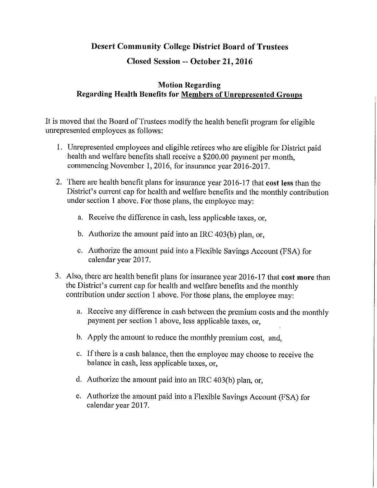## **Desert Community College District Board of Trustees**

## **Closed Session -- October 21, 2016**

## **Motion Regarding Regarding Health Benefits for Members of Unrepresented Groups**

It is moved that the Board of Trustees modify the health benefit program for eligible unrepresented employees as follows:

- 1. Umepresented employees and eligible retirees who are eligible for District paid health and welfare benefits shall receive a \$200.00 payment per month, commencing November **1,** 2016, for insurance year 2016-2017.
- 2. There are health benefit plans for insurance year 2016-17 that **cost less** than the District's current cap for health and welfare benefits and the monthly contribution under section 1 above. For those plans, the employee may:
	- a. Receive the difference in cash, less applicable taxes, or,
	- b. Authorize the amount paid into an IRC 403(b) plan, or,
	- c. Authorize the amount paid into a Flexible Savings Account (FSA) for calendar year 2017.
- 3. Also, there are health benefit plans for insurance year 2016-17 that **cost more** than the District's current cap for health and welfare benefits and the monthly contribution under section 1 above. For those plans, the employee may:
	- a. Receive any difference in cash between the premium costs and the monthly payment per section 1 above, less applicable taxes, or,
	- b. Apply the amount to reduce the monthly premium cost, and,
	- c. If there is a cash balance, then the employee may choose to receive the balance in cash, less applicable taxes, or,
	- d. Authorize the amount paid into an IRC 403(b) plan, or,
	- e. Authorize the amount paid into a Flexible Savings Account (FSA) for calendar year 2017.